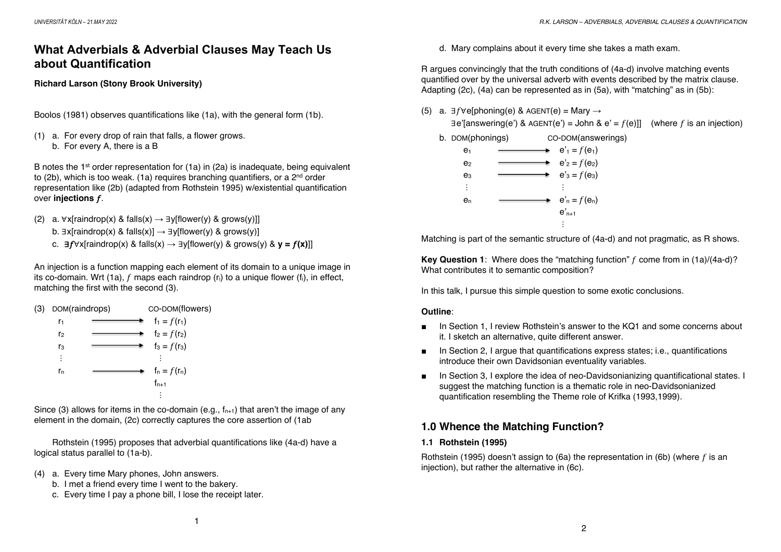# **What Adverbials & Adverbial Clauses May Teach Us about Quantification**

### **Richard Larson (Stony Brook University)**

Boolos (1981) observes quantifications like (1a), with the general form (1b).

(1) a. For every drop of rain that falls, a flower grows. b. For every A, there is a B

B notes the 1<sup>st</sup> order representation for  $(1a)$  in  $(2a)$  is inadequate, being equivalent to (2b), which is too weak. (1a) requires branching quantifiers, or a 2<sup>nd</sup> order representation like (2b) (adapted from Rothstein 1995) w/existential quantification over **injections** f.

- (2) a.  $\forall x$ [raindrop(x) & falls(x)  $\rightarrow \exists y$ [flower(y) & grows(y)]]
	- b.  $\exists x$ [raindrop(x) & falls(x)]  $\rightarrow \exists y$ [flower(y) & grows(y)]
	- c.  $\exists f \forall x$ [raindrop(x) & falls(x) →  $\exists y$ [flower(y) & grows(y) &  $\mathbf{v} = f(\mathbf{x})$ ]]

An injection is a function mapping each element of its domain to a unique image in its co-domain. Wrt (1a),  $f$  maps each raindrop ( $r_i$ ) to a unique flower ( $f_i$ ), in effect, matching the first with the second (3).

| (3) | DOM(raindrops) |  | CO-DOM(flowers) |
|-----|----------------|--|-----------------|
|     | r <sub>1</sub> |  | $f_1 = f(r_1)$  |
|     | r <sub>2</sub> |  | $f_2 = f(r_2)$  |
|     | r <sub>3</sub> |  | $f_3 = f(r_3)$  |
|     | ፡              |  | ፡               |
|     | r <sub>n</sub> |  | $f_n = f(r_n)$  |
|     |                |  | $f_{n+1}$       |
|     |                |  |                 |

Since (3) allows for items in the co-domain (e.g.,  $f_{n+1}$ ) that aren't the image of any element in the domain, (2c) correctly captures the core assertion of (1ab

Rothstein (1995) proposes that adverbial quantifications like (4a-d) have a logical status parallel to (1a-b).

- (4) a. Every time Mary phones, John answers.
	- b. I met a friend every time I went to the bakery.
	- c. Every time I pay a phone bill, I lose the receipt later.

d. Mary complains about it every time she takes a math exam.

R argues convincingly that the truth conditions of (4a-d) involve matching events quantified over by the universal adverb with events described by the matrix clause. Adapting (2c), (4a) can be represented as in (5a), with "matching" as in (5b):

(5) a. ∃ $f$ ∀e[phoning(e) & AGENT(e) = Mary  $\rightarrow$ 

 $\exists$ e'[answering(e') & AGENT(e') = John & e' =  $f$ (e)]] (where f is an injection)

b. DOM(phonings) CO-DOM(answerings)

| e <sub>1</sub> | $e'_1 = f(e_1)$     |
|----------------|---------------------|
| e <sub>2</sub> | $e'_2 = f(e_2)$     |
| e <sub>3</sub> | $e'_{3} = f(e_{3})$ |
| ፡              | ÷                   |
| en             | $e'_n = f(e_n)$     |
|                | $e_{n+1}$           |
|                |                     |

Matching is part of the semantic structure of (4a-d) and not pragmatic, as R shows.

**Key Question 1:** Where does the "matching function" f come from in (1a)/(4a-d)? What contributes it to semantic composition?

In this talk, I pursue this simple question to some exotic conclusions.

### **Outline**:

- In Section 1, I review Rothstein's answer to the KQ1 and some concerns about it. I sketch an alternative, quite different answer.
- In Section 2, I argue that quantifications express states; i.e., quantifications introduce their own Davidsonian eventuality variables.
- In Section 3, I explore the idea of neo-Davidsonianizing quantificational states. I suggest the matching function is a thematic role in neo-Davidsonianized quantification resembling the Theme role of Krifka (1993,1999).

## **1.0 Whence the Matching Function?**

### **1.1 Rothstein (1995)**

Rothstein (1995) doesn't assign to (6a) the representation in (6b) (where  $f$  is an injection), but rather the alternative in (6c).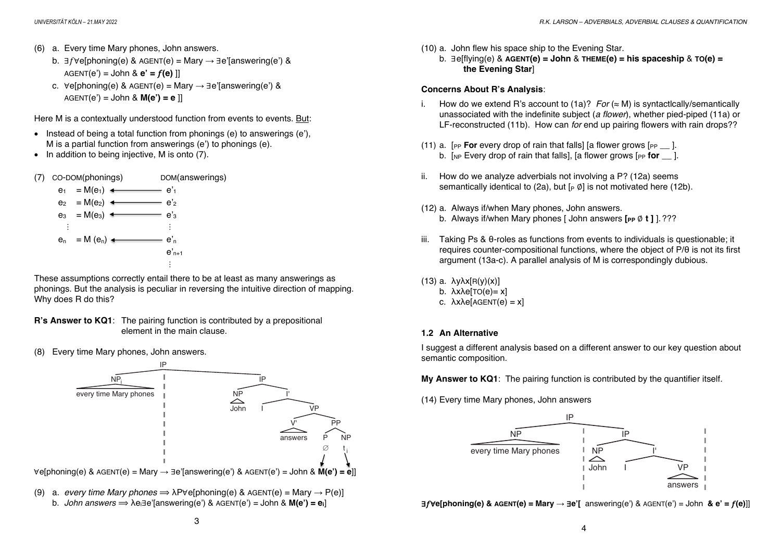- b.  $\exists f \forall e$ [phoning(e) & AGENT(e) = Mary  $\rightarrow \exists e'$ [answering(e') &  $AGENT(e') = John & e' = f(e)$
- c.  $\forall e$ [phoning(e) & AGENT(e) = Mary  $\rightarrow \exists e$ '[answering(e') & AGENT(e') = John & **M(e') = e** ]]

Here M is a contextually understood function from events to events. But:

- Instead of being a total function from phonings (e) to answerings (e'). M is a partial function from answerings (e') to phonings (e).
- In addition to being injective, M is onto (7).



These assumptions correctly entail there to be at least as many answerings as phonings. But the analysis is peculiar in reversing the intuitive direction of mapping. Why does R do this?

- **R's Answer to KQ1**: The pairing function is contributed by a prepositional element in the main clause.
- (8) Every time Mary phones, John answers.



(9) a. *every time Mary phones*  $\Rightarrow \lambda P \forall e$ [phoning(e) & AGENT(e) = Mary  $\rightarrow P(e)$ ] b. *John answers* ⟹ λei∃e'[answering(e') & AGENT(e') = John & **M(e') = ei**]

- (10) a. John flew his space ship to the Evening Star.
	- b. ∃e[flying(e) & **AGENT(e) = John** & **THEME(e) = his spaceship** & **TO(e) = the Evening Star**]

#### **Concerns About R's Analysis**:

- i. How do we extend R's account to  $(1a)$ ? *For* (≈ M) is syntactically/semantically unassociated with the indefinite subject (*a flower*), whether pied-piped (11a) or LF-reconstructed (11b). How can *for* end up pairing flowers with rain drops??
- (11) a.  $[PP$  **For** every drop of rain that falls] [a flower grows  $[PP]$ . b. [NP Every drop of rain that falls], [a flower grows [PP **for** ].
- ii. How do we analyze adverbials not involving a P? (12a) seems semantically identical to (2a), but  $[p \varnothing]$  is not motivated here (12b).
- (12) a. Always if/when Mary phones, John answers. b. Always if/when Mary phones [ John answers  $[PP \emptyset t]$  ].???
- iii. Taking Ps & θ-roles as functions from events to individuals is questionable; it requires counter-compositional functions, where the object of P/θ is not its first argument (13a-c). A parallel analysis of M is correspondingly dubious.
- (13) a. λyλx[R(y)(x)]
	- b.  $\lambda x \lambda e$ [TO(e)= x]
	- c.  $λxλe[AGENT(e) = x]$

### **1.2 An Alternative**

I suggest a different analysis based on a different answer to our key question about semantic composition.

**My Answer to KQ1**: The pairing function is contributed by the quantifier itself.

(14) Every time Mary phones, John answers



∃"∀**e[phoning(e) & AGENT(e) = Mary →** ∃**e'[** answering(e') & AGENT(e') = John **& e' =** "**(e)**]]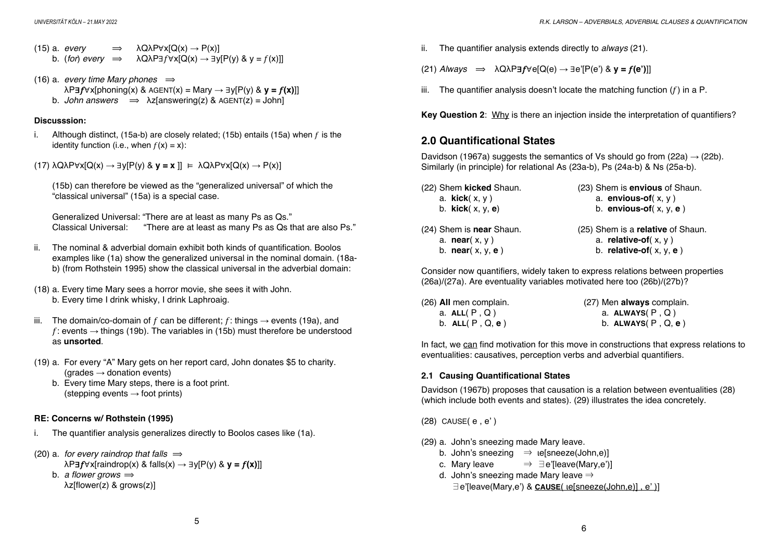(15) a. *every*  $\Rightarrow \lambda Q \lambda P \forall x [Q(x) \rightarrow P(x)]$ b. (*for*) *every*  $\Rightarrow$   $\lambda Q \lambda P \exists f \forall x [Q(x) \rightarrow \exists y [P(y) \& y = f(x)]]$ 

(16) a. *every time Mary phones*  $\implies$  $\lambda$ P**∃** $f \forall x$ [phoning(x) & AGENT(x) = Mary  $\rightarrow \exists y$ [P(y) &  $y = f(x)$ ]] b. *John answers*  $\implies \lambda z$ [answering(z) & AGENT(z) = John]

#### **Discusssion:**

- i. Although distinct, (15a-b) are closely related; (15b) entails (15a) when  $f$  is the identity function (i.e., when  $f(x) = x$ ):
- (17) λQλP∀x[Q(x) → ∃y[P(y) & **y = x** ]] ⊨ λQλP∀x[Q(x) → P(x)]

(15b) can therefore be viewed as the "generalized universal" of which the "classical universal" (15a) is a special case.

```
Generalized Universal: "There are at least as many Ps as Qs."
Classical Universal: "There are at least as many Ps as Qs that are also Ps."
```
- ii. The nominal & adverbial domain exhibit both kinds of quantification. Boolos examples like (1a) show the generalized universal in the nominal domain. (18ab) (from Rothstein 1995) show the classical universal in the adverbial domain:
- (18) a. Every time Mary sees a horror movie, she sees it with John. b. Every time I drink whisky, I drink Laphroaig.
- iii. The domain/co-domain of f can be different; f: things  $\rightarrow$  events (19a), and f: events  $\rightarrow$  things (19b). The variables in (15b) must therefore be understood as **unsorted**.
- (19) a. For every "A" Mary gets on her report card, John donates \$5 to charity.  $(\text{arades} \rightarrow \text{donation events})$ 
	- b. Every time Mary steps, there is a foot print. (stepping events  $\rightarrow$  foot prints)

### **RE: Concerns w/ Rothstein (1995)**

- i. The quantifier analysis generalizes directly to Boolos cases like (1a).
- $(20)$  a. *for every raindrop that falls*  $\Rightarrow$  $\lambda$ P**3** $f \forall x$ [raindrop(x) & falls(x)  $\rightarrow \exists y$ [P(y) &  $y = f(x)$ ]] b. *a flower grows*  $\Rightarrow$ λz[flower(z) & grows(z)]

ii. The quantifier analysis extends directly to *always* (21).

 $(21)$  *Always*  $\implies$   $\lambda$ Q $\lambda$ P $\exists$ *f*∀e[Q(e)  $\rightarrow$   $\exists$ e'[P(e') &  $\gamma$  = *f*(e')]]

iii. The quantifier analysis doesn't locate the matching function  $(f)$  in a P.

**Key Question 2**: Why is there an injection inside the interpretation of quantifiers?

## **2.0 Quantificational States**

Davidson (1967a) suggests the semantics of Vs should go from (22a)  $\rightarrow$  (22b). Similarly (in principle) for relational As (23a-b), Ps (24a-b) & Ns (25a-b).

| (22) Shem kicked Shaun.    | (23) Shem is <b>envious</b> of Shaun. |
|----------------------------|---------------------------------------|
| a. $kick(x, y)$            | a. envious-of $(x, y)$                |
| b. $kick(x, y, e)$         | b. envious-of $(x, y, e)$             |
| (24) Shem is near Shaun.   | (25) Shem is a relative of Shaun.     |
| a. <b>near</b> $(x, y)$    | a. relative-of( $x, y$ )              |
| b. <b>near</b> $(x, y, e)$ | b. relative-of $(x, y, e)$            |

Consider now quantifiers, widely taken to express relations between properties (26a)/(27a). Are eventuality variables motivated here too (26b)/(27b)?

| (26) All men complain. | (27) Men always complain. |
|------------------------|---------------------------|
| a. $ALL(P, Q)$         | a. $ALWAYS(P, Q)$         |
| b. $ALL(P, Q, e)$      | b. $ALWAYS(P, Q, e)$      |

In fact, we can find motivation for this move in constructions that express relations to eventualities: causatives, perception verbs and adverbial quantifiers.

### **2.1 Causing Quantificational States**

Davidson (1967b) proposes that causation is a relation between eventualities (28) (which include both events and states). (29) illustrates the idea concretely.

(28) CAUSE( e , e' )

- (29) a. John's sneezing made Mary leave.
	- b. John's sneezing  $\Rightarrow$  ie[sneeze(John,e)]
	- c. Mary leave  $\Rightarrow \exists e'$ [leave(Mary,e')]
	- d. John's sneezing made Mary leave  $\Rightarrow$

∃e'[leave(Mary,e') & **CAUSE**( ιe[sneeze(John,e)] , e' )]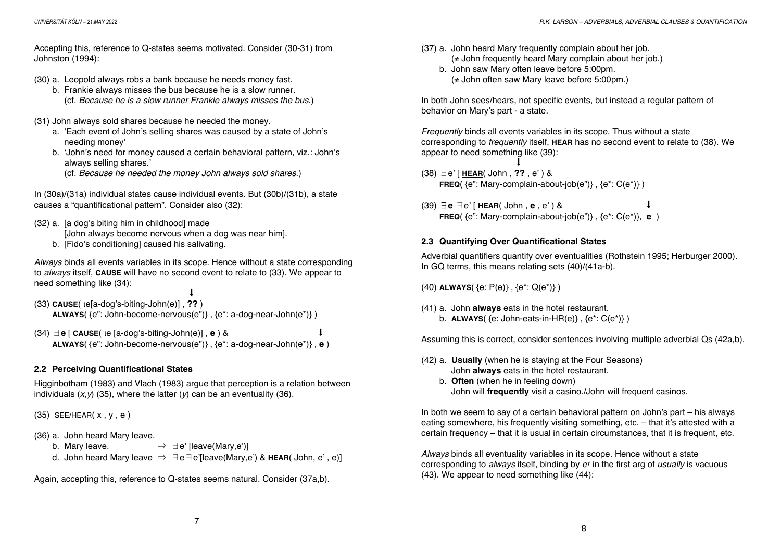Accepting this, reference to Q-states seems motivated. Consider (30-31) from Johnston (1994):

- (30) a. Leopold always robs a bank because he needs money fast.
	- b. Frankie always misses the bus because he is a slow runner. (cf. *Because he is a slow runner Frankie always misses the bus*.)
- (31) John always sold shares because he needed the money.
	- a. 'Each event of John's selling shares was caused by a state of John's needing money'
	- b. 'John's need for money caused a certain behavioral pattern, viz.: John's always selling shares.'
		- (cf. *Because he needed the money John always sold shares*.)

In (30a)/(31a) individual states cause individual events. But (30b)/(31b), a state causes a "quantificational pattern". Consider also (32):

(32) a. [a dog's biting him in childhood] made

[John always become nervous when a dog was near him].

b. [Fido's conditioning] caused his salivating.

*Always* binds all events variables in its scope. Hence without a state corresponding to *always* itself, **CAUSE** will have no second event to relate to (33). We appear to need something like (34):

 $\downarrow$ (33) **CAUSE**( ιe[a-dog's-biting-John(e)] , **??** ) **ALWAYS**( {e": John-become-nervous(e")} , {e\*: a-dog-near-John(e\*)} )

 $(34) \exists$  **e**  $\lceil$  **CAUSE** $\lceil$  **le**  $\lceil$ a-dog's-biting-John $\lceil$ e $\rceil$ , **e**  $\rceil$  &  $\lceil$ **ALWAYS**( {e": John-become-nervous(e")} , {e\*: a-dog-near-John(e\*)} , **e** )

### **2.2 Perceiving Quantificational States**

Higginbotham (1983) and Vlach (1983) argue that perception is a relation between individuals  $(x, y)$  (35), where the latter  $(y)$  can be an eventuality (36).

(35) SEE/HEAR( x , y , e )

- (36) a. John heard Mary leave.
	- b. Mary leave.  $\Rightarrow \exists e'$  [leave(Mary,e')]
	- d. John heard Mary leave ⇒ ∃e∃e'[leave(Mary,e') & **HEAR**( John, e' , e)]

Again, accepting this, reference to Q-states seems natural. Consider (37a,b).

- (37) a. John heard Mary frequently complain about her job. (≠ John frequently heard Mary complain about her job.)
	- b. John saw Mary often leave before 5:00pm. (≠ John often saw Mary leave before 5:00pm.)

In both John sees/hears, not specific events, but instead a regular pattern of behavior on Mary's part - a state.

*Frequently* binds all events variables in its scope. Thus without a state corresponding to *frequently* itself, **HEAR** has no second event to relate to (38). We appear to need something like (39):

 $\mathbf{I}$ (38) ∃e' [ **HEAR**( John , **??** , e' ) & **FREQ**( ${e$ ": Mary-complain-about-job( $e$ ")},  ${e^* : C(e^*)}$ )

(39) ∃**e** ∃e' [ **HEAR**( John , **e** , e' ) & ⬇ **FREQ**( {e": Mary-complain-about-job(e")} , {e\*: C(e\*)}, **e** )

### **2.3 Quantifying Over Quantificational States**

Adverbial quantifiers quantify over eventualities (Rothstein 1995; Herburger 2000). In GQ terms, this means relating sets (40)/(41a-b).

(40) **ALWAYS**( {e: P(e)} , {e\*: Q(e\*)} )

(41) a. John **always** eats in the hotel restaurant. b. **ALWAYS**( {e: John-eats-in-HR(e)} , {e\*: C(e\*)} )

Assuming this is correct, consider sentences involving multiple adverbial Qs (42a,b).

- (42) a. **Usually** (when he is staying at the Four Seasons) John **always** eats in the hotel restaurant.
	- b. **Often** (when he in feeling down) John will **frequently** visit a casino./John will frequent casinos.

In both we seem to say of a certain behavioral pattern on John's part – his always eating somewhere, his frequently visiting something, etc. – that it's attested with a certain frequency – that it is usual in certain circumstances, that it is frequent, etc.

*Always* binds all eventuality variables in its scope. Hence without a state corresponding to *always* itself, binding by *e†* in the first arg of *usually* is vacuous (43). We appear to need something like (44):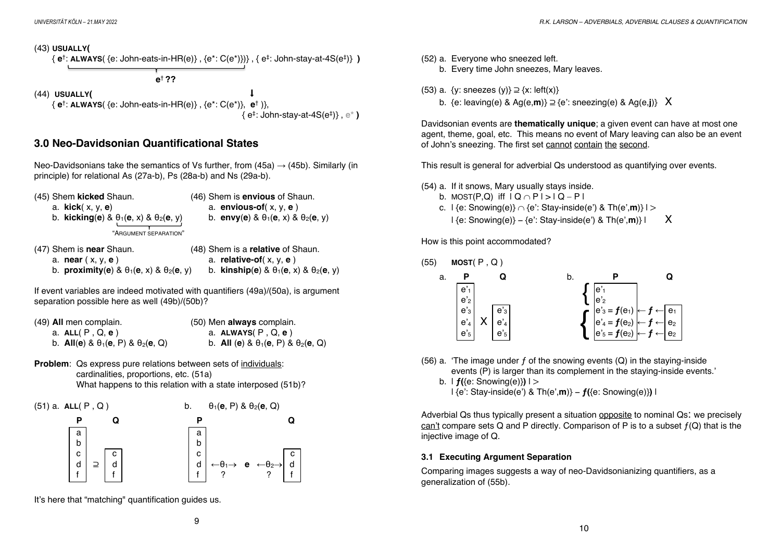

## **3.0 Neo-Davidsonian Quantificational States**

Neo-Davidsonians take the semantics of Vs further, from  $(45a) \rightarrow (45b)$ . Similarly (in principle) for relational As (27a-b), Ps (28a-b) and Ns (29a-b).

| (45) Shem kicked Shaun.                                                        | (46) Shem is <b>envious</b> of Shaun.              |
|--------------------------------------------------------------------------------|----------------------------------------------------|
| a. $kick(x, y, e)$                                                             | a. envious-of( $x, y, e$ )                         |
| b. kicking(e) & $\theta_1$ (e, x) & $\theta_2$ (e, y)<br>"ARGUMENT SEPARATION" | b. envy(e) & $\theta_1$ (e, x) & $\theta_2$ (e, y) |

| (47) Shem is near Shaun.                                | (48) Shem is a relative of Shaun.                     |
|---------------------------------------------------------|-------------------------------------------------------|
| a. <b>near</b> (x, y, <b>e</b> )                        | a. relative-of( $x, y, e$ )                           |
| b. proximity(e) & $\theta_1$ (e, x) & $\theta_2$ (e, y) | b. kinship(e) & $\theta_1$ (e, x) & $\theta_2$ (e, y) |

If event variables are indeed motivated with quantifiers (49a)/(50a), is argument separation possible here as well (49b)/(50b)?

| (49) All men complain.                            | (50) Men always complain.                          |
|---------------------------------------------------|----------------------------------------------------|
| a. ALL (P, Q, e)                                  | a. $ALWAYS(P, Q, e)$                               |
| b. All(e) & $\theta_1$ (e, P) & $\theta_2$ (e, Q) | b. All (e) & $\theta_1$ (e, P) & $\theta_2$ (e, Q) |

**Problem**: Qs express pure relations between sets of individuals: cardinalities, proportions, etc. (51a) What happens to this relation with a state interposed (51b)?





It's here that "matching" quantification guides us.

(53) a.  $\{y: \text{sneezes } (y)\} \supseteq \{x: \text{left}(x)\}$ 

b. {e: leaving(e) & Ag(e,**m**)} ⊇ {e': sneezing(e) & Ag(e,**j**)} X

Davidsonian events are **thematically unique**; a given event can have at most one agent, theme, goal, etc. This means no event of Mary leaving can also be an event of John's sneezing. The first set cannot contain the second.

This result is general for adverbial Qs understood as quantifying over events.

- (54) a. If it snows, Mary usually stays inside.
	- b. MOST(P,Q) iff  $IQ \cap P$  | >  $|Q P|$
	- c.  $| \{e: \text{Showing}(e)\} \cap \{e': \text{Stay-inside}(e') \& \text{Th}(e', m)\} | >$ 
		- $\{e: \text{Showing}(e)\} \{e': \text{Stay-inside}(e') \& \text{Th}(e', m)\}\$

How is this point accommodated?



(56) a. 'The image under  $f$  of the snowing events (Q) in the staying-inside events (P) is larger than its complement in the staying-inside events.'

b.  $| f({\epsilon}$ : Snowing(e) $)$ | {e': Stay-inside(e') & Th(e',**m**)} − **ƒ(**{e: Snowing(e)}**)** |

Adverbial Qs thus typically present a situation opposite to nominal Qs: we precisely can't compare sets Q and P directly. Comparison of P is to a subset  $f(Q)$  that is the injective image of Q.

### **3.1 Executing Argument Separation**

Comparing images suggests a way of neo-Davidsonianizing quantifiers, as a generalization of (55b).